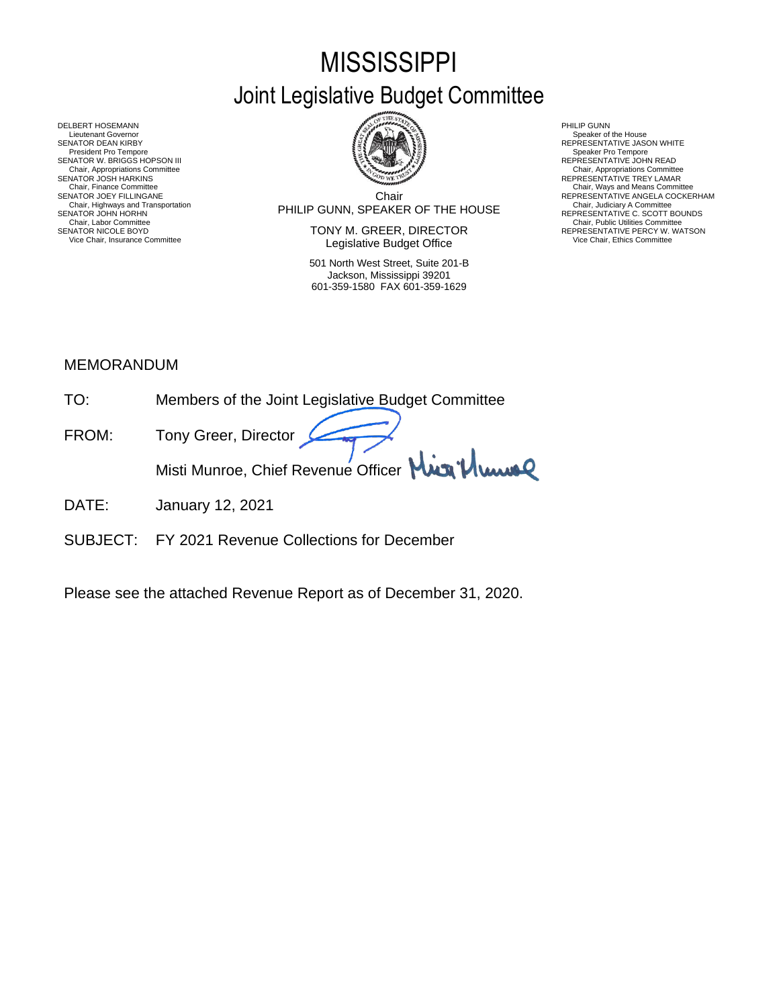# **MISSISSIPPI** Joint Legislative Budget Committee



Chair PHILIP GUNN, SPEAKER OF THE HOUSE Chair, Highways and Transportation Chair, Judiciary A Committee SENATOR JOHN HORHN REPRESENTATIVE C. SCOTT BOUNDS

SENATOR NICOLE BOYD **SENATOR SENATOR SENATOR SENATOR SEPRESENTATIVE PERCY W. WATSON** Vice Chair, Insurance Committee **Network Committee Legislative Budget Office** Mair, Insurance Committee Vice Chair, Ethics Committee

> 501 North West Street, Suite 201-B Jackson, Mississippi 39201 601-359-1580 FAX 601-359-1629

- 
- 
- Chair, Appropriations Committee<br>REPRESENTATIVE TREY LAMAR
- 
- REPRESENTATIVE ANGELA COCKERHAM<br>Chair, Judiciary A Committee<br>REPERESENTATIVE C. SCOTT BOUNDS<br>Chair, Public Utilities Committee

DELBERT HOSEMANN PHILIP GUNN<br>Lieutenant Governor Speaker of Speaker of Speaker of Speaker of Speaker of Speaker of Speaker of Speaker of Speaker of Lieutenant Governor Speaker of the House ( SENATOR DEAN KIRBY GERATOR DEAN KIRBY AND REPRESENTATIVE JASON WHITE<br>President Pro Tempore Speaker Pro Tempore Speaker Pro Tempore SENATOR W. BRIGGS HOPSON III READ AND READ AND REPRESENTATIVE JOHN READ Chair, Appropriations Committee<br>SENATOR JOSH HARKINS<br>Chair, Finance Committee Chair, Finance Committee Chair, Ways and Means Committee Chair, Ways and Means Committee Chair, Ways and Means Committee Chair Chair Chair Chair Chair Chair Chair Chair Chair Chair Chair Chair Chair Chair Chair Chair Chair Chair, Labor Chair, Chair, Judiciary A Committee Chair, Labor Chair, Labor Chair, Labor Chair, Labor Chair, Labor Chair, Labor Chair, Labor Chair, Labor Chair, Labor Chair, Labor Chair, Labor Chair, Labor Chair, Labor Chai

## MEMORANDUM

- TO: Members of the Joint Legislative Budget Committee
- FROM: Tony Greer, Director Misti Munroe, Chief Revenue Officer Mun<sup>1</sup>/ Www
- DATE: January 12, 2021
- SUBJECT: FY 2021 Revenue Collections for December

Please see the attached Revenue Report as of December 31, 2020.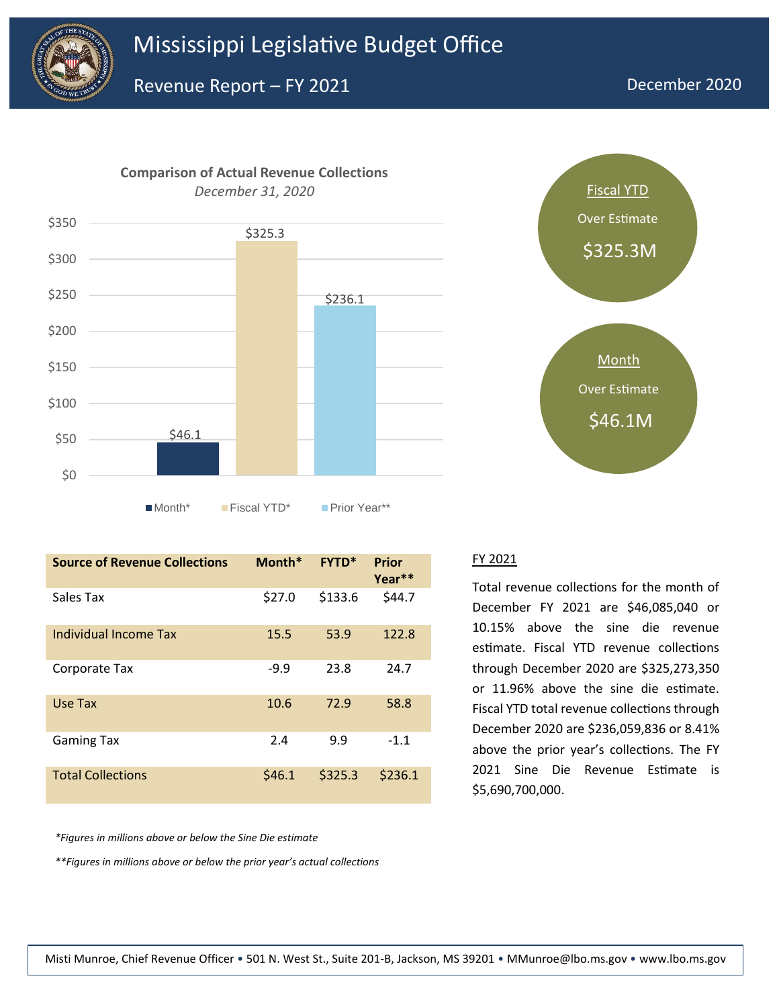





| <b>Source of Revenue Collections</b> | Month* | <b>FYTD*</b> | Prior<br>Year <sup>**</sup> |
|--------------------------------------|--------|--------------|-----------------------------|
| Sales Tax                            | \$27.0 | \$133.6      | \$44.7                      |
| Individual Income Tax                | 15.5   | 53.9         | 122.8                       |
| Corporate Tax                        | $-9.9$ | 23.8         | 24.7                        |
| Use Tax                              | 10.6   | 72.9         | 58.8                        |
| <b>Gaming Tax</b>                    | 2.4    | 9.9          | $-1.1$                      |
| <b>Total Collections</b>             | \$46.1 | \$325.3      | \$236.1                     |

*\*Figures in millions above or below the Sine Die estimate*

*\*\*Figures in millions above or below the prior year's actual collections*

#### FY 2021

Total revenue collections for the month of December FY 2021 are \$46,085,040 or 10.15% above the sine die revenue estimate. Fiscal YTD revenue collections through December 2020 are \$325,273,350 or 11.96% above the sine die estimate. Fiscal YTD total revenue collections through December 2020 are \$236,059,836 or 8.41% above the prior year's collections. The FY 2021 Sine Die Revenue Estimate is \$5,690,700,000.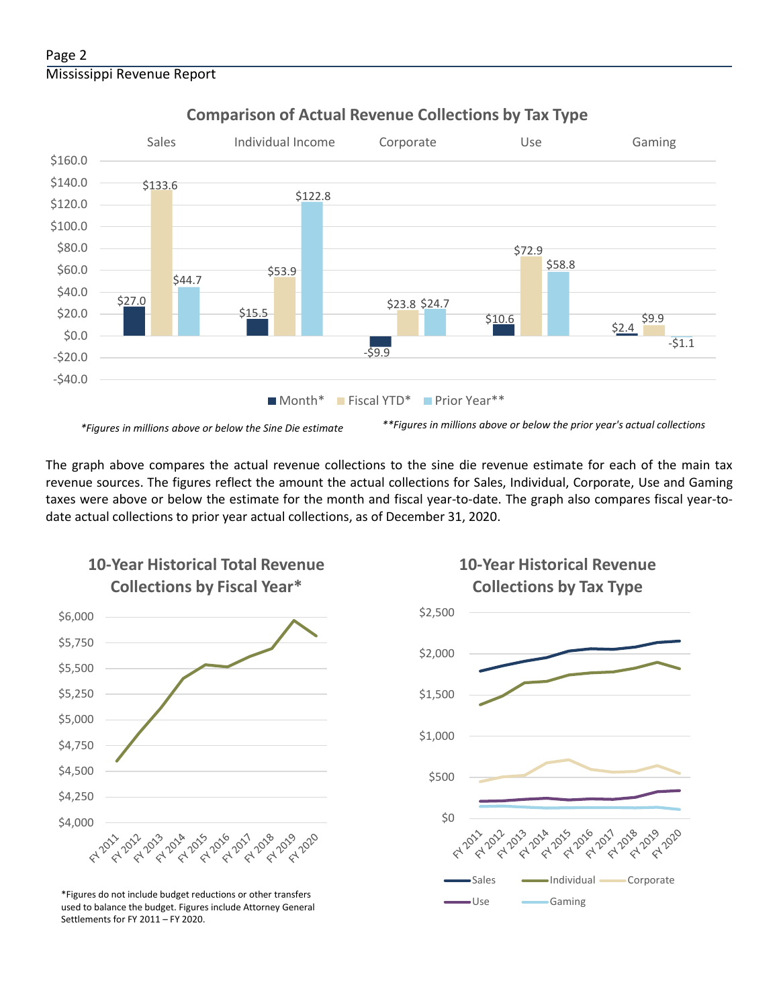## Page 2 Mississippi Revenue Report



## **Comparison of Actual Revenue Collections by Tax Type**

The graph above compares the actual revenue collections to the sine die revenue estimate for each of the main tax revenue sources. The figures reflect the amount the actual collections for Sales, Individual, Corporate, Use and Gaming taxes were above or below the estimate for the month and fiscal year-to-date. The graph also compares fiscal year-todate actual collections to prior year actual collections, as of December 31, 2020.



**10-Year Historical Total Revenue** 

Use Gaming \*Figures do not include budget reductions or other transfers used to balance the budget. Figures include Attorney General Settlements for FY 2011 – FY 2020.

## **10-Year Historical Revenue Collections by Tax Type**

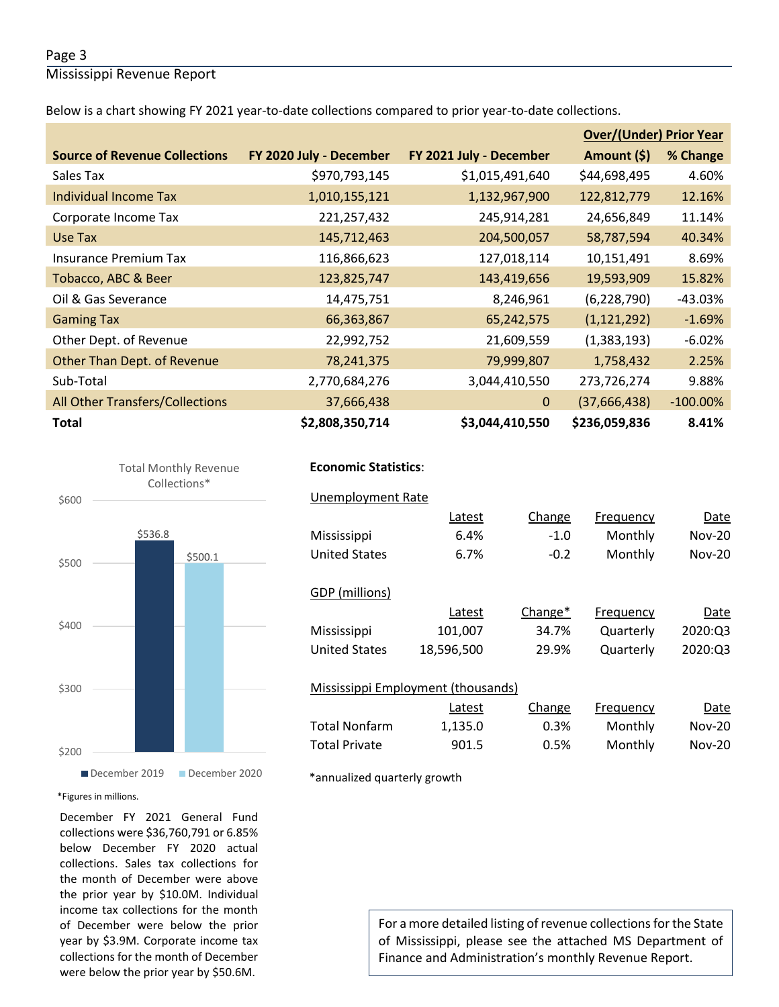#### Page 3

Mississippi Revenue Report

Below is a chart showing FY 2021 year-to-date collections compared to prior year-to-date collections.

|                                      |                         |                         | <b>Over/(Under) Prior Year</b> |             |
|--------------------------------------|-------------------------|-------------------------|--------------------------------|-------------|
| <b>Source of Revenue Collections</b> | FY 2020 July - December | FY 2021 July - December | Amount (\$)                    | % Change    |
| Sales Tax                            | \$970,793,145           | \$1,015,491,640         | \$44,698,495                   | 4.60%       |
| <b>Individual Income Tax</b>         | 1,010,155,121           | 1,132,967,900           | 122,812,779                    | 12.16%      |
| Corporate Income Tax                 | 221,257,432             | 245,914,281             | 24,656,849                     | 11.14%      |
| Use Tax                              | 145,712,463             | 204,500,057             | 58,787,594                     | 40.34%      |
| <b>Insurance Premium Tax</b>         | 116,866,623             | 127,018,114             | 10,151,491                     | 8.69%       |
| Tobacco, ABC & Beer                  | 123,825,747             | 143,419,656             | 19,593,909                     | 15.82%      |
| Oil & Gas Severance                  | 14,475,751              | 8,246,961               | (6, 228, 790)                  | $-43.03%$   |
| <b>Gaming Tax</b>                    | 66,363,867              | 65,242,575              | (1, 121, 292)                  | $-1.69%$    |
| Other Dept. of Revenue               | 22,992,752              | 21,609,559              | (1,383,193)                    | $-6.02%$    |
| Other Than Dept. of Revenue          | 78,241,375              | 79,999,807              | 1,758,432                      | 2.25%       |
| Sub-Total                            | 2,770,684,276           | 3,044,410,550           | 273,726,274                    | 9.88%       |
| All Other Transfers/Collections      | 37,666,438              | $\mathbf{0}$            | (37,666,438)                   | $-100.00\%$ |
| <b>Total</b>                         | \$2,808,350,714         | \$3,044,410,550         | \$236,059,836                  | 8.41%       |



## **Economic Statistics**:  **Economic Statistics**:

| <b>Unemployment Rate</b>           |            |         |           |          |
|------------------------------------|------------|---------|-----------|----------|
|                                    | Latest     | Change  | Frequency | Date     |
| Mississippi                        | 6.4%       | $-1.0$  | Monthly   | $Nov-20$ |
| <b>United States</b>               | 6.7%       | $-0.2$  | Monthly   | $Nov-20$ |
|                                    |            |         |           |          |
| GDP (millions)                     |            |         |           |          |
|                                    | Latest     | Change* | Frequency | Date     |
| Mississippi                        | 101,007    | 34.7%   | Quarterly | 2020:03  |
| <b>United States</b>               | 18,596,500 | 29.9%   | Quarterly | 2020:03  |
|                                    |            |         |           |          |
| Mississippi Employment (thousands) |            |         |           |          |
|                                    | Latest     | Change  | Frequency | Date     |
| <b>Total Nonfarm</b>               | 1,135.0    | 0.3%    | Monthly   | $Nov-20$ |
| <b>Total Private</b>               | 901.5      | 0.5%    | Monthly   | $Nov-20$ |
|                                    |            |         |           |          |

\*annualized quarterly growth

#### \*Figures in millions.

December FY 2021 General Fund collections were \$36,760,791 or 6.85% below December FY 2020 actual collections. Sales tax collections for the month of December were above the prior year by \$10.0M. Individual income tax collections for the month of December were below the prior year by \$3.9M. Corporate income tax collections for the month of December were below the prior year by \$50.6M.

For a more detailed listing of revenue collections for the State of Mississippi, please see the attached MS Department of Finance and Administration's monthly Revenue Report.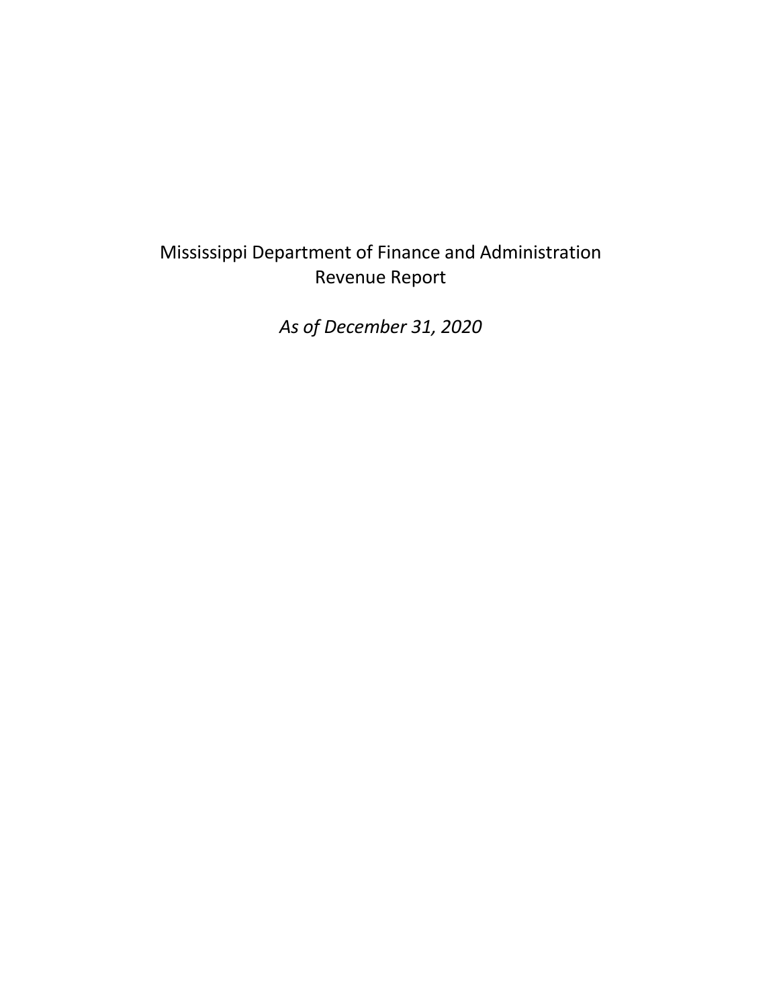## Mississippi Department of Finance and Administration Revenue Report

*As of December 31, 2020*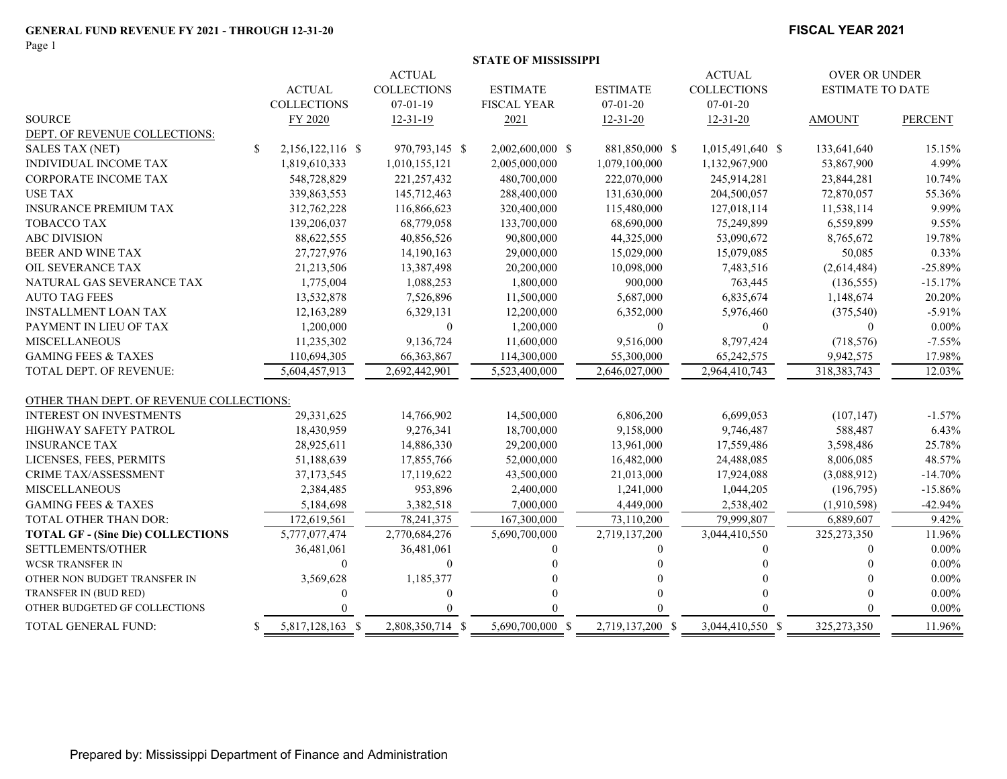Page 1

#### **FISCAL YEAR 2021**

|  | STATE OF MISSISSIPPI |  |
|--|----------------------|--|
|  |                      |  |

|                                          |                                  | <b>ACTUAL</b>      |                    |                  | <b>ACTUAL</b>      | OVER OR UNDER           |                |
|------------------------------------------|----------------------------------|--------------------|--------------------|------------------|--------------------|-------------------------|----------------|
|                                          | <b>ACTUAL</b>                    | <b>COLLECTIONS</b> | <b>ESTIMATE</b>    | <b>ESTIMATE</b>  | <b>COLLECTIONS</b> | <b>ESTIMATE TO DATE</b> |                |
|                                          | <b>COLLECTIONS</b>               | $07-01-19$         | <b>FISCAL YEAR</b> | $07 - 01 - 20$   | $07 - 01 - 20$     |                         |                |
| <b>SOURCE</b>                            | FY 2020                          | $12 - 31 - 19$     | 2021               | $12 - 31 - 20$   | $12 - 31 - 20$     | <b>AMOUNT</b>           | <b>PERCENT</b> |
| DEPT. OF REVENUE COLLECTIONS:            |                                  |                    |                    |                  |                    |                         |                |
| <b>SALES TAX (NET)</b>                   | $\mathbb{S}$<br>2,156,122,116 \$ | 970,793,145 \$     | 2,002,600,000 \$   | 881,850,000 \$   | 1,015,491,640 \$   | 133,641,640             | 15.15%         |
| INDIVIDUAL INCOME TAX                    | 1,819,610,333                    | 1,010,155,121      | 2,005,000,000      | 1,079,100,000    | 1,132,967,900      | 53,867,900              | 4.99%          |
| <b>CORPORATE INCOME TAX</b>              | 548,728,829                      | 221, 257, 432      | 480,700,000        | 222,070,000      | 245,914,281        | 23,844,281              | 10.74%         |
| <b>USE TAX</b>                           | 339,863,553                      | 145,712,463        | 288,400,000        | 131,630,000      | 204,500,057        | 72,870,057              | 55.36%         |
| <b>INSURANCE PREMIUM TAX</b>             | 312,762,228                      | 116,866,623        | 320,400,000        | 115,480,000      | 127,018,114        | 11,538,114              | 9.99%          |
| TOBACCO TAX                              | 139,206,037                      | 68,779,058         | 133,700,000        | 68,690,000       | 75,249,899         | 6,559,899               | 9.55%          |
| <b>ABC DIVISION</b>                      | 88,622,555                       | 40,856,526         | 90,800,000         | 44,325,000       | 53,090,672         | 8,765,672               | 19.78%         |
| BEER AND WINE TAX                        | 27,727,976                       | 14,190,163         | 29,000,000         | 15,029,000       | 15,079,085         | 50,085                  | 0.33%          |
| OIL SEVERANCE TAX                        | 21,213,506                       | 13,387,498         | 20,200,000         | 10,098,000       | 7,483,516          | (2,614,484)             | $-25.89%$      |
| NATURAL GAS SEVERANCE TAX                | 1,775,004                        | 1,088,253          | 1,800,000          | 900,000          | 763,445            | (136, 555)              | $-15.17%$      |
| <b>AUTO TAG FEES</b>                     | 13,532,878                       | 7,526,896          | 11,500,000         | 5,687,000        | 6,835,674          | 1,148,674               | 20.20%         |
| <b>INSTALLMENT LOAN TAX</b>              | 12,163,289                       | 6,329,131          | 12,200,000         | 6,352,000        | 5,976,460          | (375,540)               | $-5.91%$       |
| PAYMENT IN LIEU OF TAX                   | 1,200,000                        | $\mathbf{0}$       | 1,200,000          | $\Omega$         | $\mathbf{0}$       | $\mathbf{0}$            | $0.00\%$       |
| <b>MISCELLANEOUS</b>                     | 11,235,302                       | 9,136,724          | 11,600,000         | 9,516,000        | 8,797,424          | (718, 576)              | $-7.55%$       |
| <b>GAMING FEES &amp; TAXES</b>           | 110,694,305                      | 66, 363, 867       | 114,300,000        | 55,300,000       | 65,242,575         | 9,942,575               | 17.98%         |
| TOTAL DEPT. OF REVENUE:                  | 5,604,457,913                    | 2,692,442,901      | 5,523,400,000      | 2,646,027,000    | 2,964,410,743      | 318, 383, 743           | 12.03%         |
| OTHER THAN DEPT. OF REVENUE COLLECTIONS: |                                  |                    |                    |                  |                    |                         |                |
| <b>INTEREST ON INVESTMENTS</b>           | 29,331,625                       | 14,766,902         | 14,500,000         | 6,806,200        | 6,699,053          | (107, 147)              | $-1.57%$       |
| HIGHWAY SAFETY PATROL                    | 18,430,959                       | 9,276,341          | 18,700,000         | 9,158,000        | 9,746,487          | 588,487                 | 6.43%          |
| <b>INSURANCE TAX</b>                     | 28,925,611                       | 14,886,330         | 29,200,000         | 13,961,000       | 17,559,486         | 3,598,486               | 25.78%         |
| LICENSES, FEES, PERMITS                  | 51,188,639                       | 17,855,766         | 52,000,000         | 16,482,000       | 24,488,085         | 8,006,085               | 48.57%         |
| <b>CRIME TAX/ASSESSMENT</b>              | 37,173,545                       | 17,119,622         | 43,500,000         | 21,013,000       | 17,924,088         | (3,088,912)             | $-14.70%$      |
| <b>MISCELLANEOUS</b>                     | 2,384,485                        | 953,896            | 2,400,000          | 1,241,000        | 1,044,205          | (196,795)               | $-15.86%$      |
| <b>GAMING FEES &amp; TAXES</b>           | 5,184,698                        | 3,382,518          | 7,000,000          | 4,449,000        | 2,538,402          | (1,910,598)             | $-42.94%$      |
| TOTAL OTHER THAN DOR:                    | 172,619,561                      | 78, 241, 375       | 167,300,000        | 73,110,200       | 79,999,807         | 6,889,607               | 9.42%          |
| <b>TOTAL GF - (Sine Die) COLLECTIONS</b> | 5,777,077,474                    | 2,770,684,276      | 5,690,700,000      | 2,719,137,200    | 3,044,410,550      | 325,273,350             | 11.96%         |
| SETTLEMENTS/OTHER                        | 36,481,061                       | 36,481,061         |                    | 0                | 0                  | 0                       | $0.00\%$       |
| <b>WCSR TRANSFER IN</b>                  | $\theta$                         | $\Omega$           |                    |                  |                    |                         | $0.00\%$       |
| OTHER NON BUDGET TRANSFER IN             | 3,569,628                        | 1,185,377          |                    |                  |                    |                         | $0.00\%$       |
| TRANSFER IN (BUD RED)                    |                                  |                    |                    |                  |                    |                         | $0.00\%$       |
| OTHER BUDGETED GF COLLECTIONS            |                                  |                    |                    |                  |                    |                         | $0.00\%$       |
| TOTAL GENERAL FUND:                      | 5,817,128,163 \$<br>S            | 2,808,350,714 \$   | 5,690,700,000 \$   | 2,719,137,200 \$ | 3,044,410,550 \$   | 325,273,350             | 11.96%         |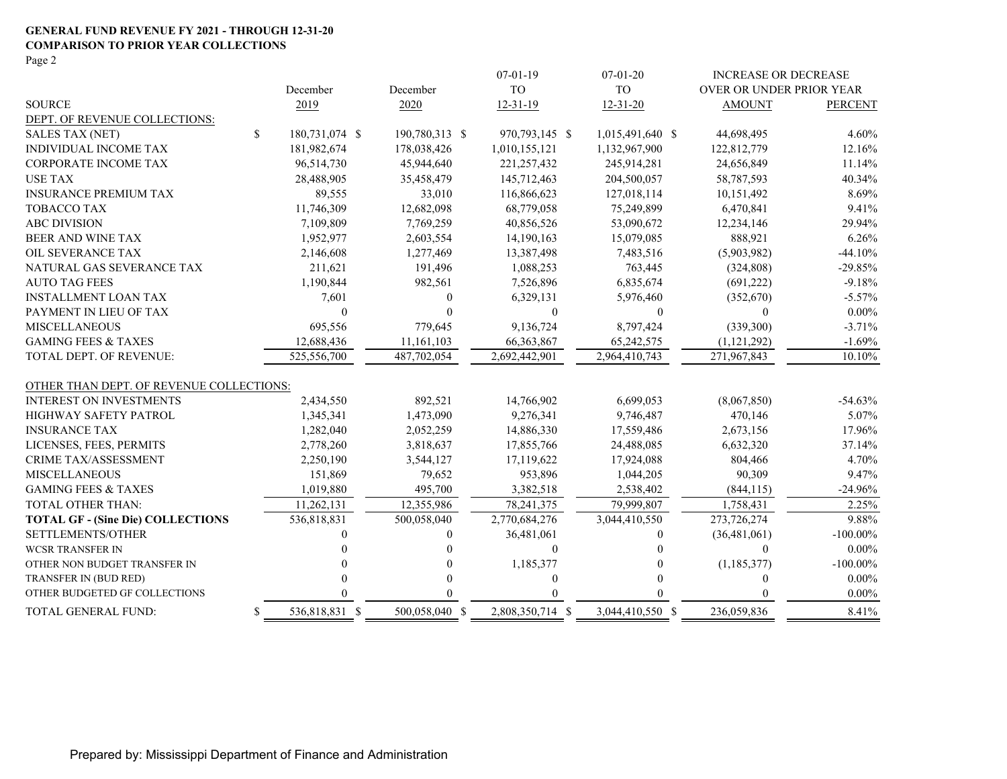#### **GENERAL FUND REVENUE FY 2021 - THROUGH 12-31-20 COMPARISON TO PRIOR YEAR COLLECTIONS** Page 2

|                                          |                           |                |                | $07-01-19$       | $07-01-20$       | <b>INCREASE OR DECREASE</b> |                |
|------------------------------------------|---------------------------|----------------|----------------|------------------|------------------|-----------------------------|----------------|
|                                          |                           | December       | December       | <b>TO</b>        | <b>TO</b>        | OVER OR UNDER PRIOR YEAR    |                |
| <b>SOURCE</b>                            |                           | 2019           | 2020           | $12 - 31 - 19$   | $12 - 31 - 20$   | <b>AMOUNT</b>               | <b>PERCENT</b> |
| DEPT. OF REVENUE COLLECTIONS:            |                           |                |                |                  |                  |                             |                |
| <b>SALES TAX (NET)</b>                   | $\boldsymbol{\mathsf{S}}$ | 180,731,074 \$ | 190,780,313 \$ | 970,793,145 \$   | 1,015,491,640 \$ | 44,698,495                  | 4.60%          |
| INDIVIDUAL INCOME TAX                    |                           | 181,982,674    | 178,038,426    | 1,010,155,121    | 1,132,967,900    | 122,812,779                 | 12.16%         |
| <b>CORPORATE INCOME TAX</b>              |                           | 96,514,730     | 45,944,640     | 221, 257, 432    | 245,914,281      | 24,656,849                  | 11.14%         |
| <b>USE TAX</b>                           |                           | 28,488,905     | 35,458,479     | 145,712,463      | 204,500,057      | 58,787,593                  | 40.34%         |
| <b>INSURANCE PREMIUM TAX</b>             |                           | 89,555         | 33,010         | 116,866,623      | 127,018,114      | 10,151,492                  | 8.69%          |
| <b>TOBACCO TAX</b>                       |                           | 11,746,309     | 12,682,098     | 68,779,058       | 75,249,899       | 6,470,841                   | 9.41%          |
| <b>ABC DIVISION</b>                      |                           | 7,109,809      | 7,769,259      | 40,856,526       | 53,090,672       | 12,234,146                  | 29.94%         |
| BEER AND WINE TAX                        |                           | 1,952,977      | 2,603,554      | 14,190,163       | 15,079,085       | 888,921                     | 6.26%          |
| OIL SEVERANCE TAX                        |                           | 2,146,608      | 1,277,469      | 13,387,498       | 7,483,516        | (5,903,982)                 | $-44.10%$      |
| NATURAL GAS SEVERANCE TAX                |                           | 211,621        | 191,496        | 1,088,253        | 763,445          | (324, 808)                  | $-29.85%$      |
| <b>AUTO TAG FEES</b>                     |                           | 1,190,844      | 982,561        | 7,526,896        | 6,835,674        | (691, 222)                  | $-9.18%$       |
| <b>INSTALLMENT LOAN TAX</b>              |                           | 7,601          | $\theta$       | 6,329,131        | 5,976,460        | (352,670)                   | $-5.57%$       |
| PAYMENT IN LIEU OF TAX                   |                           | $\Omega$       | $\theta$       | $\mathbf{0}$     | $\theta$         | $\Omega$                    | $0.00\%$       |
| <b>MISCELLANEOUS</b>                     |                           | 695,556        | 779,645        | 9,136,724        | 8,797,424        | (339,300)                   | $-3.71%$       |
| <b>GAMING FEES &amp; TAXES</b>           |                           | 12,688,436     | 11,161,103     | 66, 363, 867     | 65,242,575       | (1, 121, 292)               | $-1.69%$       |
| TOTAL DEPT. OF REVENUE:                  |                           | 525,556,700    | 487,702,054    | 2,692,442,901    | 2,964,410,743    | 271,967,843                 | 10.10%         |
| OTHER THAN DEPT. OF REVENUE COLLECTIONS: |                           |                |                |                  |                  |                             |                |
| <b>INTEREST ON INVESTMENTS</b>           |                           | 2,434,550      | 892,521        | 14,766,902       | 6,699,053        | (8,067,850)                 | $-54.63%$      |
| HIGHWAY SAFETY PATROL                    |                           | 1,345,341      | 1,473,090      | 9,276,341        | 9,746,487        | 470,146                     | 5.07%          |
| <b>INSURANCE TAX</b>                     |                           | 1,282,040      | 2,052,259      | 14,886,330       | 17,559,486       | 2,673,156                   | 17.96%         |
| LICENSES, FEES, PERMITS                  |                           | 2,778,260      | 3,818,637      | 17,855,766       | 24,488,085       | 6,632,320                   | 37.14%         |
| <b>CRIME TAX/ASSESSMENT</b>              |                           | 2,250,190      | 3,544,127      | 17,119,622       | 17,924,088       | 804,466                     | 4.70%          |
| <b>MISCELLANEOUS</b>                     |                           | 151,869        | 79,652         | 953,896          | 1,044,205        | 90,309                      | 9.47%          |
| <b>GAMING FEES &amp; TAXES</b>           |                           | 1,019,880      | 495,700        | 3,382,518        | 2,538,402        | (844, 115)                  | $-24.96%$      |
| <b>TOTAL OTHER THAN:</b>                 |                           | 11,262,131     | 12,355,986     | 78, 241, 375     | 79,999,807       | 1,758,431                   | 2.25%          |
| <b>TOTAL GF - (Sine Die) COLLECTIONS</b> |                           | 536,818,831    | 500,058,040    | 2,770,684,276    | 3,044,410,550    | 273,726,274                 | 9.88%          |
| SETTLEMENTS/OTHER                        |                           |                | 0              | 36,481,061       | $\mathbf{0}$     | (36, 481, 061)              | $-100.00\%$    |
| <b>WCSR TRANSFER IN</b>                  |                           |                | $\theta$       | $\mathbf{0}$     | 0                | $\Omega$                    | $0.00\%$       |
| OTHER NON BUDGET TRANSFER IN             |                           |                | 0              | 1,185,377        | 0                | (1, 185, 377)               | $-100.00\%$    |
| TRANSFER IN (BUD RED)                    |                           |                | $\theta$       | 0                | 0                | $\theta$                    | $0.00\%$       |
| OTHER BUDGETED GF COLLECTIONS            |                           |                |                |                  |                  | $\Omega$                    | $0.00\%$       |
| TOTAL GENERAL FUND:                      | \$                        | 536,818,831 \$ | 500,058,040 \$ | 2,808,350,714 \$ | 3,044,410,550 \$ | 236,059,836                 | 8.41%          |